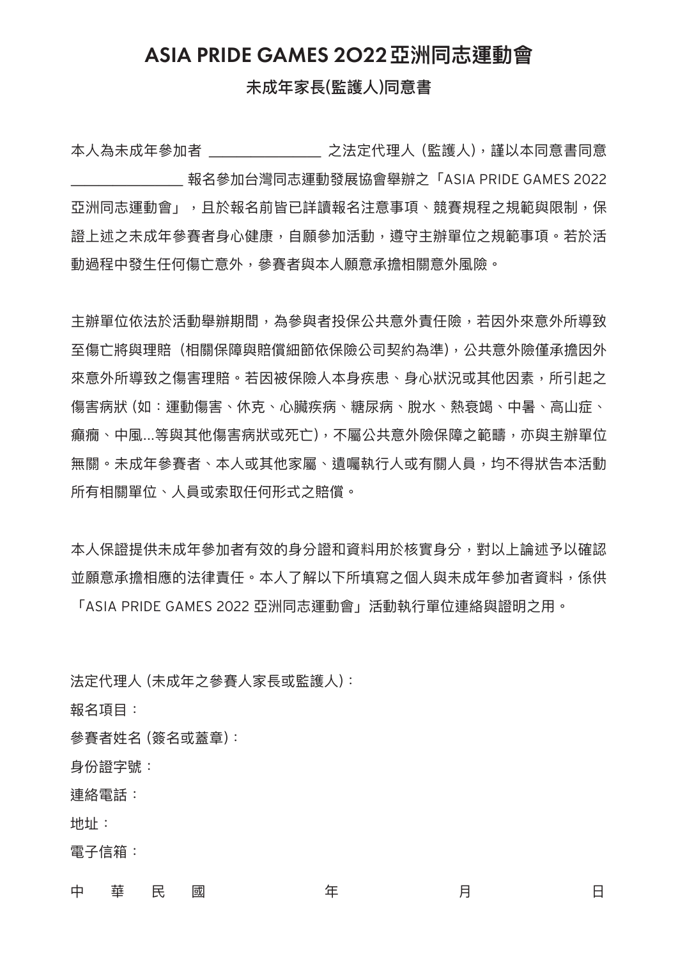## ASIA PRIDE GAMES 2O22**亞洲同志運動會**

## 未成年家長(監護人)同意書

本人為未成年參加者 \_\_\_\_\_\_\_\_ 之法定代理人 (監護人),謹以本同意書同意 \_\_\_\_\_\_\_\_ 報名參加台灣同志運動發展協會舉辦之「ASIA PRIDE GAMES 2022 亞洲同志運動會」,且於報名前皆已詳讀報名注意事項、競賽規程之規範與限制,保 證上述之未成年參賽者身心健康,自願參加活動,遵守主辦單位之規範事項。若於活 動過程中發生任何傷亡意外,參賽者與本人願意承擔相關意外風險。

主辦單位依法於活動舉辦期間,為參與者投保公共意外責任險,若因外來意外所導致 至傷亡將與理賠 (相關保障與賠償細節依保險公司契約為準),公共意外險僅承擔因外 來意外所導致之傷害理賠。若因被保險人本身疾患、身心狀況或其他因素,所引起之 傷害病狀 (如:運動傷害、休克、心臟疾病、糖尿病、脫水、熱衰竭、中暑、高山症、 癲癇、中風...等與其他傷害病狀或死亡),不屬公共意外險保障之範疇,亦與主辦單位 無關。未成年參賽者、本人或其他家屬、遺囑執行人或有關人員,均不得狀告本活動 所有相關單位、人員或索取任何形式之賠償。

本人保證提供未成年參加者有效的身分證和資料用於核實身分,對以上論述予以確認 並願意承擔相應的法律責任。本人了解以下所填寫之個人與未成年參加者資料,係供 「ASIA PRIDE GAMES 2022 亞洲同志運動會」活動執行單位連絡與證明之用。

法定代理人 (未成年之參賽人家長或監護人):

報名項目:

參賽者姓名 (簽名或蓋章):

身份證字號:

連絡電話:

地址:

電子信箱:

中の華の民の國 のういつ 年の かいのう 月の かいのう 日の